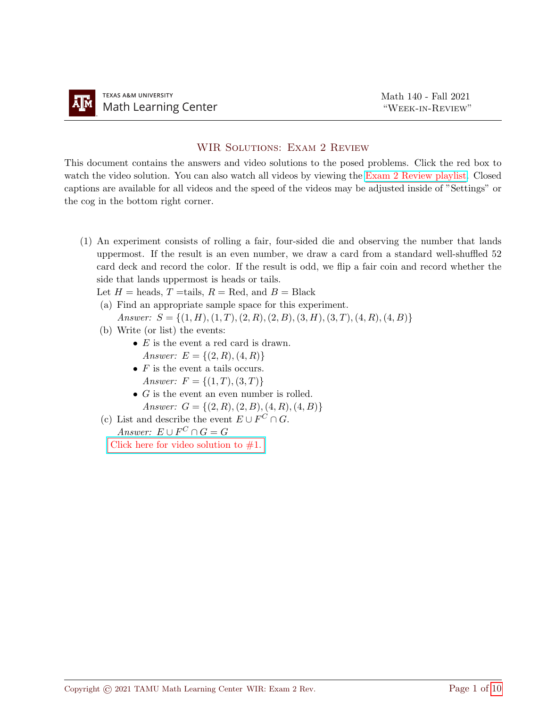## WIR SOLUTIONS: EXAM 2 REVIEW

This document contains the answers and video solutions to the posed problems. Click the red box to watch the video solution. You can also watch all videos by viewing the [Exam 2 Review playlist.](https://youtube.com/playlist?list=PLwFg2cC3rFdlcycNwbJ6TIaFwChKKJ223) Closed captions are available for all videos and the speed of the videos may be adjusted inside of "Settings" or the cog in the bottom right corner.

- (1) An experiment consists of rolling a fair, four-sided die and observing the number that lands uppermost. If the result is an even number, we draw a card from a standard well-shuffled 52 card deck and record the color. If the result is odd, we flip a fair coin and record whether the side that lands uppermost is heads or tails.
	- Let  $H =$  heads,  $T =$ tails,  $R =$  Red, and  $B =$  Black
	- (a) Find an appropriate sample space for this experiment. Answer:  $S = \{(1, H), (1, T), (2, R), (2, B), (3, H), (3, T), (4, R), (4, B)\}\$
	- (b) Write (or list) the events:
		- $E$  is the event a red card is drawn. Answer:  $E = \{(2, R), (4, R)\}\$
		- $F$  is the event a tails occurs. Answer:  $F = \{(1, T), (3, T)\}\$
		- $G$  is the event an even number is rolled. Answer:  $G = \{(2, R), (2, B), (4, R), (4, B)\}\$
	- (c) List and describe the event  $E \cup F^C \cap G$ .

Answer:  $E \cup F^C \cap G = G$ 

Click here for video solution to  $#1$ .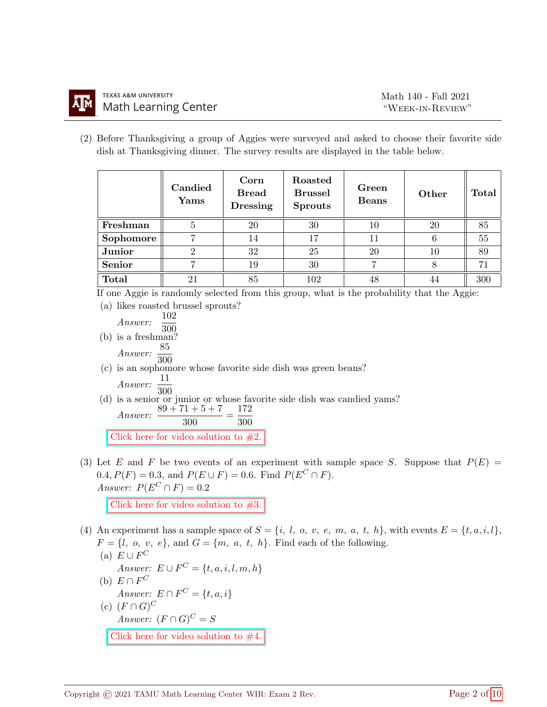(2) Before Thanksgiving a group of Aggies were surveyed and asked to choose their favorite side dish at Thanksgiving dinner. The survey results are displayed in the table below.

|               | Candied<br>Yams | Corn<br><b>Bread</b><br><b>Dressing</b> | Roasted<br><b>Brussel</b><br><b>Sprouts</b> | Green<br><b>Beans</b> | Other | Total |
|---------------|-----------------|-----------------------------------------|---------------------------------------------|-----------------------|-------|-------|
| Freshman      | 5               | 20                                      | 30                                          | 10                    | 20    | 85    |
| Sophomore     |                 | 14                                      | 17                                          |                       | 6     | 55    |
| Junior        |                 | 32                                      | 25                                          | 20                    | 10    | 89    |
| <b>Senior</b> |                 | 19                                      | 30                                          |                       |       | 71    |
| <b>Total</b>  |                 | 85                                      | 102                                         | 48                    | 44    | 300   |

If one Aggie is randomly selected from this group, what is the probability that the Aggie:

(a) likes roasted brussel sprouts? Answer:  $\frac{102}{102}$ 300 (b) is a freshman?  $Answer: \frac{85}{300}$ (c) is an sophomore whose favorite side dish was green beans? Answer:  $\frac{11}{300}$ (d) is a senior or junior or whose favorite side dish was candied yams? Answer:  $\frac{89 + 71 + 5 + 7}{300} = \frac{172}{300}$ 300 Click here for video solution to  $#2$ .

(3) Let E and F be two events of an experiment with sample space S. Suppose that  $P(E)$  = 0.4,  $P(F) = 0.3$ , and  $P(E \cup F) = 0.6$ . Find  $P(E^C \cap F)$ . Answer:  $P(E^C \cap F) = 0.2$ 

Click here for video solution to  $#3$ .

- (4) An experiment has a sample space of  $S = \{i, l, o, v, e, m, a, t, h\}$ , with events  $E = \{t, a, i, l\}$ ,  $F = \{l, o, v, e\}$ , and  $G = \{m, a, t, h\}$ . Find each of the following. (a)  $E \cup F^C$ 
	- Answer:  $E \cup F^C = \{t, a, i, l, m, h\}$
	- (b)  $E \cap F^C$ Answer:  $E \cap F^C = \{t, a, i\}$ (c)  $(F \cap G)^C$ Answer:  $(F \cap G)^C = S$ Click here for video solution to  $#4$ .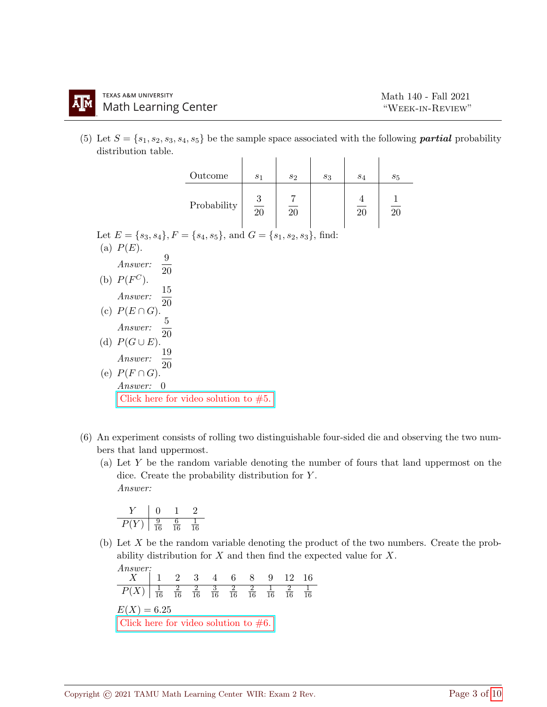(5) Let  $S = \{s_1, s_2, s_3, s_4, s_5\}$  be the sample space associated with the following **partial** probability distribution table.  $\mathbf{L} = \mathbf{L} \mathbf{L}$  $\mathbf{I}$  $\mathbf{L}$ 

|                                                                                   | Outcome     |                | $S_2$        | $s_3$ | $S_4$          |                |
|-----------------------------------------------------------------------------------|-------------|----------------|--------------|-------|----------------|----------------|
|                                                                                   |             | $s_1$          |              |       |                | $s_5$          |
|                                                                                   | Probability | $\frac{3}{20}$ | $rac{7}{20}$ |       | $\frac{4}{20}$ | $\frac{1}{20}$ |
| Let $E = \{s_3, s_4\}$ , $F = \{s_4, s_5\}$ , and $G = \{s_1, s_2, s_3\}$ , find: |             |                |              |       |                |                |
| (a) $P(E)$ .                                                                      |             |                |              |       |                |                |
|                                                                                   |             |                |              |       |                |                |
| Answer: $\frac{9}{20}$                                                            |             |                |              |       |                |                |
| (b) $P(F^C)$ .                                                                    |             |                |              |       |                |                |
| Answer: $\frac{15}{20}$                                                           |             |                |              |       |                |                |
|                                                                                   |             |                |              |       |                |                |
| (c) $P(E \cap G)$ .<br>Answer:<br>$\frac{5}{20}$                                  |             |                |              |       |                |                |
| (d) $P(G \cup E)$ .                                                               |             |                |              |       |                |                |
| $\frac{19}{20}$<br>Answer:                                                        |             |                |              |       |                |                |
| (e) $P(F \cap G)$ .                                                               |             |                |              |       |                |                |
| Answer:<br>$\theta$                                                               |             |                |              |       |                |                |
| Click here for video solution to $#5$ .                                           |             |                |              |       |                |                |

- (6) An experiment consists of rolling two distinguishable four-sided die and observing the two numbers that land uppermost.
	- (a) Let Y be the random variable denoting the number of fours that land uppermost on the dice. Create the probability distribution for Y . Answer:

$$
\begin{array}{c|cc}\nY & 0 & 1 & 2 \\
\hline\nP(Y) & \frac{9}{16} & \frac{6}{16} & \frac{1}{16}\n\end{array}
$$

(b) Let X be the random variable denoting the product of the two numbers. Create the probability distribution for  $X$  and then find the expected value for  $X$ .

Answer:  $X$  | 1 2 3 4 6 8 9 12 16  $P(X)$   $\frac{1}{16}$ 16 2 16 2 16 3 16 2 16 2 16 1 16 2 16 1 16  $E(X) = 6.25$ Click here for video solution to  $#6$ .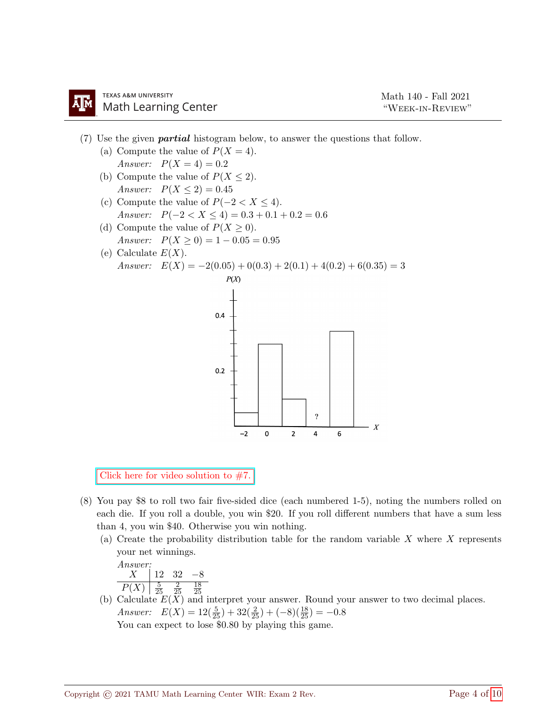- (7) Use the given partial histogram below, to answer the questions that follow.
	- (a) Compute the value of  $P(X = 4)$ . Answer:  $P(X = 4) = 0.2$
	- (b) Compute the value of  $P(X \leq 2)$ . Answer:  $P(X \le 2) = 0.45$
	- (c) Compute the value of  $P(-2 < X \leq 4)$ . Answer:  $P(-2 < X \le 4) = 0.3 + 0.1 + 0.2 = 0.6$
	- (d) Compute the value of  $P(X \geq 0)$ . Answer:  $P(X \ge 0) = 1 - 0.05 = 0.95$
	- (e) Calculate  $E(X)$ . Answer:  $E(X) = -2(0.05) + 0(0.3) + 2(0.1) + 4(0.2) + 6(0.35) = 3$



Click here for video solution to  $#7$ .

- (8) You pay \$8 to roll two fair five-sided dice (each numbered 1-5), noting the numbers rolled on each die. If you roll a double, you win \$20. If you roll different numbers that have a sum less than 4, you win \$40. Otherwise you win nothing.
	- (a) Create the probability distribution table for the random variable  $X$  where  $X$  represents your net winnings.

Answer:  
\n
$$
X
$$
 12 32 -8  
\n $P(X)$   $\frac{5}{25}$   $\frac{2}{25}$   $\frac{18}{25}$ 

(b) Calculate  $E(X)$  and interpret your answer. Round your answer to two decimal places. Answer:  $E(X) = 12(\frac{5}{25}) + 32(\frac{2}{25}) + (-8)(\frac{18}{25}) = -0.8$ You can expect to lose \$0.80 by playing this game.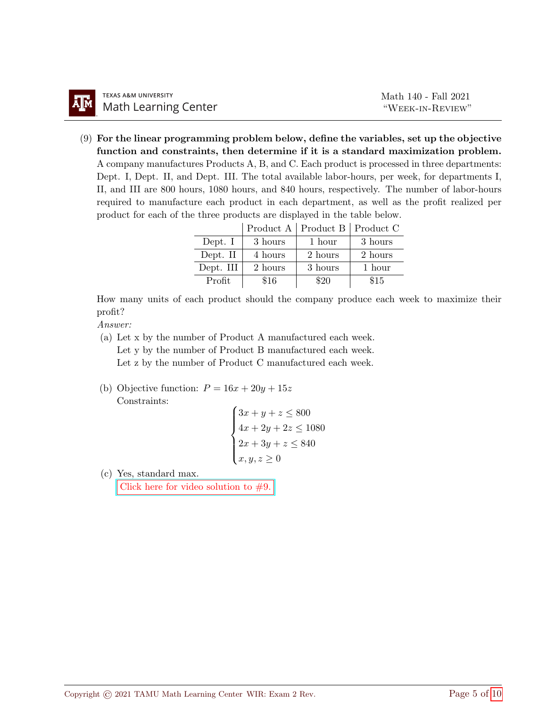(9) For the linear programming problem below, define the variables, set up the objective function and constraints, then determine if it is a standard maximization problem. A company manufactures Products A, B, and C. Each product is processed in three departments: Dept. I, Dept. II, and Dept. III. The total available labor-hours, per week, for departments I, II, and III are 800 hours, 1080 hours, and 840 hours, respectively. The number of labor-hours required to manufacture each product in each department, as well as the profit realized per product for each of the three products are displayed in the table below.

|           |         | Product A   Product B   Product C |         |
|-----------|---------|-----------------------------------|---------|
| Dept. I   | 3 hours | 1 hour                            | 3 hours |
| Dept. II  | 4 hours | 2 hours                           | 2 hours |
| Dept. III | 2 hours | 3 hours                           | 1 hour  |
| Profit    | \$16    | \$20                              | \$15    |

How many units of each product should the company produce each week to maximize their profit?

Answer:

- (a) Let x by the number of Product A manufactured each week. Let y by the number of Product B manufactured each week. Let z by the number of Product C manufactured each week.
- (b) Objective function:  $P = 16x + 20y + 15z$ Constraints:

$$
\begin{cases} 3x + y + z \le 800 \\ 4x + 2y + 2z \le 1080 \\ 2x + 3y + z \le 840 \\ x, y, z \ge 0 \end{cases}
$$

(c) Yes, standard max.

Click here for video solution to  $#9$ .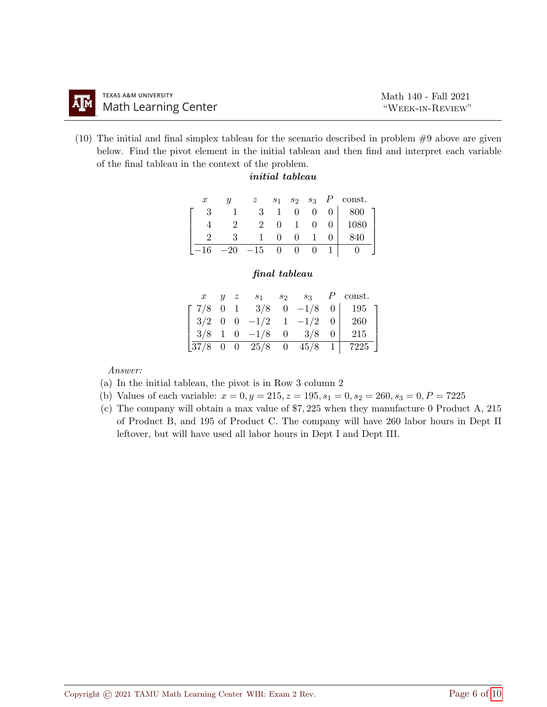(10) The initial and final simplex tableau for the scenario described in problem #9 above are given below. Find the pivot element in the initial tableau and then find and interpret each variable of the final tableau in the context of the problem.

## initial tableau

| $\boldsymbol{x}$ | U |       | $s_1$        | $s_2$ $s_3$ | P | const. |
|------------------|---|-------|--------------|-------------|---|--------|
| 2                |   |       |              | 0           |   | 800    |
|                  |   | 2     | $\mathbf{0}$ |             |   | 1080   |
|                  |   |       |              |             |   | 840    |
|                  |   | $-15$ |              |             |   |        |

## final tableau

|  | $\mathbf{u}$ | $s_1$                                                                                    | $S_2$ $S_3$ | $P$ const.                                                                |
|--|--------------|------------------------------------------------------------------------------------------|-------------|---------------------------------------------------------------------------|
|  |              |                                                                                          |             | $\begin{bmatrix} 7/8 & 0 & 1 & 3/8 & 0 & -1/8 & 0 & 195 \end{bmatrix}$    |
|  |              | $\begin{vmatrix} 3/2 & 0 & 0 & -1/2 & 1 & -1/2 & 0 \end{vmatrix}$                        |             | 260                                                                       |
|  |              | $\begin{array}{ c c c c c c c c c } \hline 3/8 & 1 & 0 & -1/8 & 0 & 3/8 & 0 \end{array}$ |             | 215                                                                       |
|  |              |                                                                                          |             | $\begin{bmatrix} 37/8 & 0 & 0 & 25/8 & 0 & 45/8 & 1 & 7225 \end{bmatrix}$ |

Answer:

- (a) In the initial tableau, the pivot is in Row 3 column 2
- (b) Values of each variable:  $x = 0, y = 215, z = 195, s_1 = 0, s_2 = 260, s_3 = 0, P = 7225$
- (c) The company will obtain a max value of \$7, 225 when they manufacture 0 Product A, 215 of Product B, and 195 of Product C. The company will have 260 labor hours in Dept II leftover, but will have used all labor hours in Dept I and Dept III.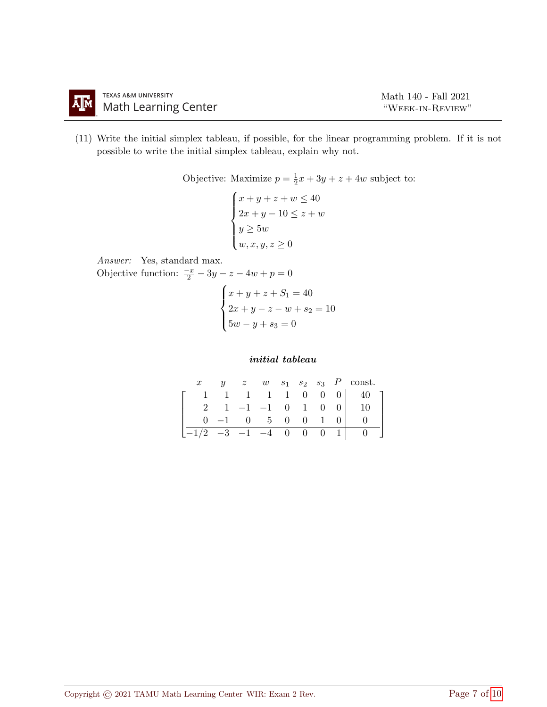

(11) Write the initial simplex tableau, if possible, for the linear programming problem. If it is not possible to write the initial simplex tableau, explain why not.

> Objective: Maximize  $p=\frac{1}{2}$  $\frac{1}{2}x + 3y + z + 4w$  subject to:

$$
\begin{cases}\nx + y + z + w \le 40 \\
2x + y - 10 \le z + w \\
y \ge 5w \\
w, x, y, z \ge 0\n\end{cases}
$$

Answer: Yes, standard max. Objective function:  $\frac{-x}{2} - 3y - z - 4w + p = 0$ 

$$
\begin{cases}\nx + y + z + S_1 = 40 \\
2x + y - z - w + s_2 = 10 \\
5w - y + s_3 = 0\n\end{cases}
$$

## initial tableau

|                              |  |                |  |                | $y \quad z \quad w \quad s_1 \quad s_2 \quad s_3 \quad P \quad \text{const.}$ |
|------------------------------|--|----------------|--|----------------|-------------------------------------------------------------------------------|
|                              |  |                |  |                | $1 \quad 1 \quad 1 \quad 1 \quad 0 \quad 0 \quad 0 \quad 40$                  |
| $2^{\circ}$                  |  |                |  |                | $1 -1 -1 0 1 0 0 1$                                                           |
|                              |  | $-1$ 0 5 0 0 1 |  |                |                                                                               |
| $ -1/2$ $-3$ $-1$ $-4$ 0 0 0 |  |                |  | 1 <sup>1</sup> |                                                                               |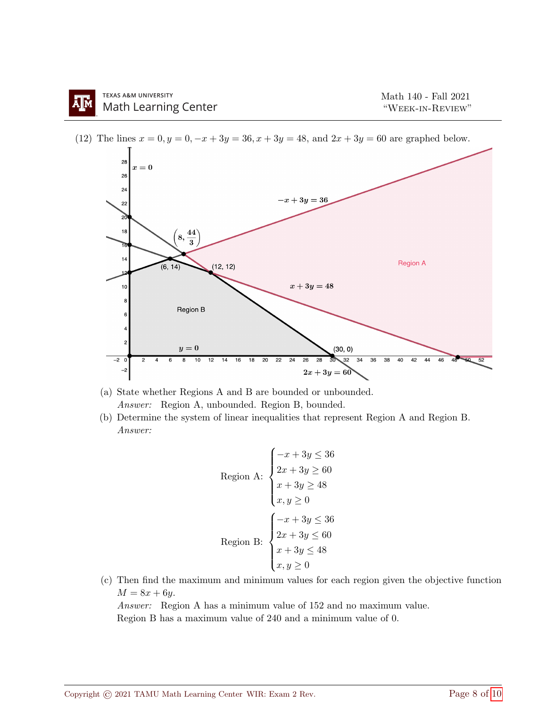

(12) The lines  $x = 0, y = 0, -x + 3y = 36, x + 3y = 48$ , and  $2x + 3y = 60$  are graphed below.

(a) State whether Regions A and B are bounded or unbounded. Answer: Region A, unbounded. Region B, bounded.

(b) Determine the system of linear inequalities that represent Region A and Region B. Answer:

$$
\begin{aligned}\n\text{Region A:} \\
\begin{cases}\n-x + 3y &\leq 36 \\
2x + 3y &\geq 60 \\
x + 3y &\geq 48 \\
x, y &\geq 0\n\end{cases} \\
\text{Region B:} \\
\begin{cases}\n-x + 3y &\leq 36 \\
2x + 3y &\leq 60 \\
x + 3y &\leq 48 \\
x, y &\geq 0\n\end{cases}\n\end{aligned}
$$

(c) Then find the maximum and minimum values for each region given the objective function  $M = 8x + 6y$ .

Answer: Region A has a minimum value of 152 and no maximum value. Region B has a maximum value of 240 and a minimum value of 0.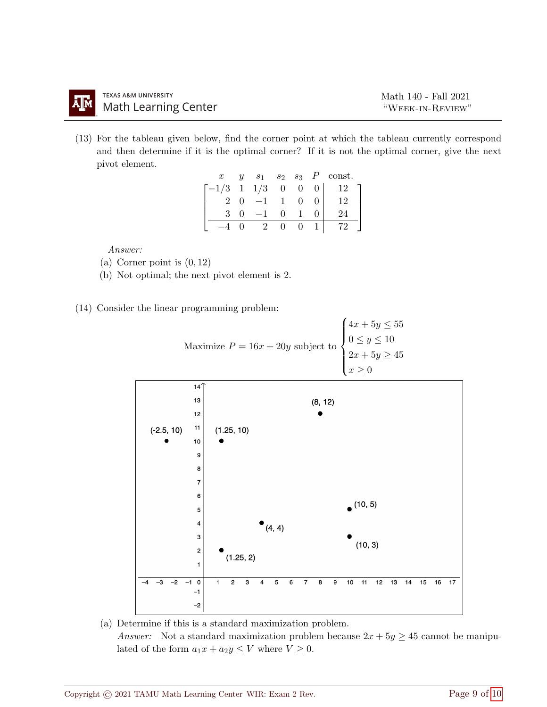(13) For the tableau given below, find the corner point at which the tableau currently correspond and then determine if it is the optimal corner? If it is not the optimal corner, give the next pivot element.

| $\boldsymbol{x}$                       | y |              |          |            | $s_1$ $s_2$ $s_3$ $P$ const. |
|----------------------------------------|---|--------------|----------|------------|------------------------------|
| $\lceil -1/3 \quad 1 \quad 1/3 \rceil$ |   |              | $\theta$ | 0          | 12                           |
| 2                                      |   |              | -1       | $^{\circ}$ | $\Omega$                     |
| $\mathcal{R}$                          |   |              | .,       |            |                              |
|                                        |   | $\mathbf{z}$ |          |            |                              |

Answer:

- (a) Corner point is  $(0, 12)$
- (b) Not optimal; the next pivot element is 2.
- (14) Consider the linear programming problem:



(a) Determine if this is a standard maximization problem. Answer: Not a standard maximization problem because  $2x + 5y \ge 45$  cannot be manipulated of the form  $a_1x + a_2y \leq V$  where  $V \geq 0$ .